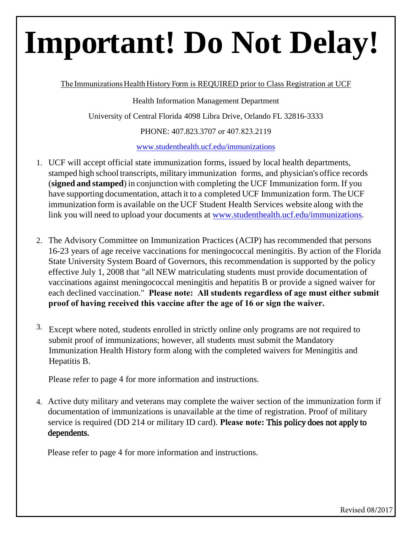# **Important! Do Not Delay!**

The Immunizations Health History Form is REQUIRED prior to Class Registration at UCF

Health Information Management Department University of Central Florida 4098 Libra Drive, Orlando FL 32816-3333

PHONE: 407.823.3707 or 407.823.2119

[www.studenthealth.ucf.edu/immunizations](http://www.studenthealth.ucf.edu/immunizations)

- 1. UCF will accept official state immunization forms, issued by local health departments, stamped high school transcripts, military immunization forms, and physician's office records (**signed and stamped**) in conjunction with completing the UCF Immunization form. If you have supporting documentation, attach it to a completed UCF Immunization form. The UCF immunization form is available on the UCF Student Health Services website along with the link you will need to upload your documents at [www.studenthealth.ucf.edu/immunizatio](http://www.studenthealth.ucf.edu/immunizations)ns.
- 2. The Advisory Committee on Immunization Practices (ACIP) has recommended that persons 16-23 years of age receive vaccinations for meningococcal meningitis. By action of the Florida State University System Board of Governors, this recommendation is supported by the policy effective July 1, 2008 that "all NEW matriculating students must provide documentation of vaccinations against meningococcal meningitis and hepatitis B or provide a signed waiver for each declined vaccination." **Please note: All students regardless of age must either submit proof of having received this vaccine after the age of 16 or sign the waiver.**
- 3. Except where noted, students enrolled in strictly online only programs are not required to submit proof of immunizations; however, all students must submit the Mandatory Immunization Health History form along with the completed waivers for Meningitis and Hepatitis B.

Please refer to page 4 for more information and instructions.

4. Active duty military and veterans may complete the waiver section of the immunization form if documentation of immunizations is unavailable at the time of registration. Proof of military service is required (DD 214 or military ID card). **Please note:** This policy does not apply to dependents.

Please refer to page 4 for more information and instructions.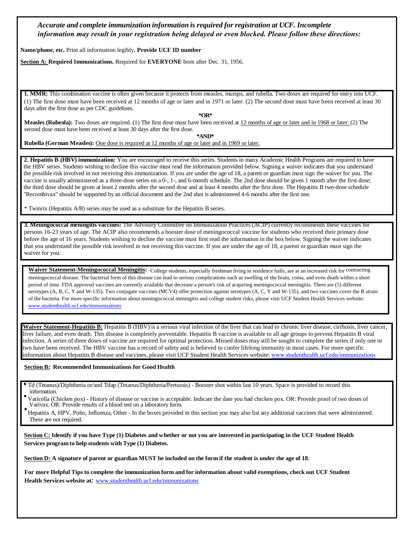*Accurate and complete immunization information is required for registration at UCF. Incomplete information may result in your registration being delayed or even blocked. Please follow these directions:*

**Name/phone, etc.** Print all information legibly**. Provide UCF ID number**

**Section A: Required Immunizations.** Required for **EVERYONE** born after Dec. 31, 1956.

**1. MMR:** This combination vaccine is often given because it protects from measles, mumps, and rubella. Two doses are required for entry into UCF. (1) The first dose must have been received at 12 months of age or later and in 1971 or later. (2) The second dose must have been received at least 30 days after the first dose as per CDC guidelines.

**\*OR\***

**Measles (Rubeola):** Two doses are required. (1) The first dose must have been received at 12 months of age or later and in 1968 or later. (2) The second dose must have been received at least 30 days after the first dose.

**\*AND\***

**Rubella (German Measles):** One dose is required at 12 months of age or later and in 1969 or later.

**2. Hepatitis B (HBV) immunization:** You are encouraged to receive this series. Students in many Academic Health Programs are required to have the HBV series. Students wishing to decline this vaccine must read the information provided below. Signing a waiver indicates that you understand the possible risk involved in not receiving this immunization. If you are under the age of 18, a parent or guardian must sign the waiver for you. The vaccine is usually administered as a three-dose series on a 0-, 1-, and 6-month schedule. The 2nd dose should be given 1 month after the first dose; the third dose should be given at least 2 months after the second dose and at least 4 months after the first dose. The Hepatitis B two-dose schedule "Recombivax" should be supported by an official document and the 2nd shot is administered 4-6 months after the first one.

\* Twinrix (Hepatitis A/B) series may be used as a substitute for the Hepatitis B series.

**3. Meningococcal meningitis vaccines:** The Advisory Committee on Immunization Practices (ACIP) currently recommends these vaccines for persons 16-23 years of age. The ACIP also recommends a booster dose of meningococcal vaccine for students who received their primary dose before the age of 16 years. Students wishing to decline the vaccine must first read the information in the box below. Signing the waiver indicates that you understand the possible risk involved in not receiving this vaccine. If you are under the age of 18, a parent or guardian must sign the waiver for you.

Waiver Statement-Meningococcal Meningitis: College students, especially freshman living in residence halls, are at an increased risk for contracting meningococcal disease. The bacterial form of this disease can lead to serious complications such as swelling of the brain, coma, and even death within a short period of time. FDA approved vaccines are currently available that decrease a person's risk of acquiring meningococcal meningitis. There are (5) different serotypes (A, B, C, Y and W-135). Two conjugate vaccines (MCV4) offer protection against serotypes (A, C, Y and W-135), and two vaccines cover the B strain of the bacteria. For more specific information about meningococcal meningitis and college student risks, please visit UCF Student Health Services website: www.studenthealth.ucf.edu/immunizations

Waiver Statement-Hepatitis B: Hepatitis B (HBV) is a serious viral infection of the liver that can lead to chronic liver disease, cirrhosis, liver cancer, liver failure, and even death. This disease is completely preventable. Hepatitis B vaccine is available to all age groups to prevent Hepatitis B viral infection. A series of three doses of vaccine are required for optimal protection. Missed doses may still be sought to complete the series if only one or two have been received. The HBV vaccine has a record of safety and is believed to confer lifelong immunity in most cases. For more specific information about Hepatitis B disease and vaccines, please visit UCF Student Health Services [website:](http://www.studenthealth.ucf.edu/) [www.studenthealth.ucf.edu](http://www.studenthealth.ucf.edu/)/immunizations

#### **Section B: Recommended Immunizations for Good Health**

- Td (Tetanus)/Diphtheria or/and Tdap (Tetanus/Diphtheria/Pertussis) Booster shot within last 10 years. Space is provided to record this
- Varicella (Chicken pox) History of disease or vaccine is acceptable. Indicate the date you had chicken pox. OR: Provide proof of two doses of Varivax. OR: Provide results of a blood test on a laboratory form.
- Hepatitis A, HPV, Polio, Influenza, Other In the boxes provided in this section you may also list any additional vaccines that were administered. These are not required.

**Section C: Identify if you have Type (1) Diabetes and whether or not you are interested in participating in the UCF Student Health Services program to help students with Type (1) Diabetes.**

**Section D: A signature of parent or guardian MUST be included on the form if the student is under the age of 18.**

**For more Helpful Tips to complete the immunization form and for information about valid exemptions, check out UCF Student Health Services website at**[: www.studenthealth.ucf.edu/immunizatio](http://www.studenthealth.ucf.edu/immunizations)ns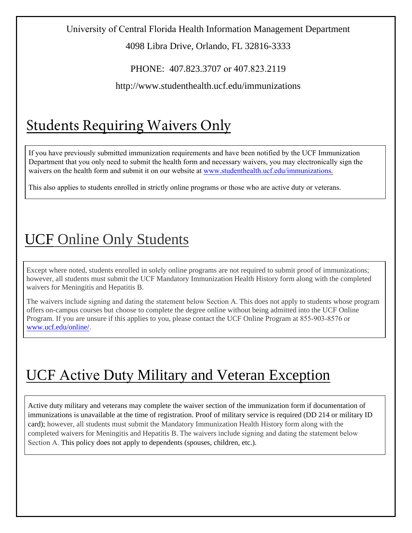### University of Central Florida Health Information Management Department

4098 Libra Drive, Orlando, FL 32816-3333

PHONE: 407.823.3707 or 407.823.2119

http://www.studenthealth.ucf.edu/immunizations

# Students Requiring Waivers Only

If you have previously submitted immunization requirements and have been notified by the UCF Immunization Department that you only need to submit the health form and necessary waivers, you may electronically sign the [waivers on the health form and submit it on](http://www.studenthealth.ucf.edu/immunizations/) our website at www.studenthealth.ucf.edu/immunizations.

This also applies to students enrolled in strictly online programs or those who are active duty or veterans.

### UCF Online Only Students

Except where noted, students enrolled in solely online programs are not required to submit proof of immunizations; however, all students must submit the UCF Mandatory Immunization Health History form along with the completed waivers for Meningitis and Hepatitis B.

The waivers include signing and dating the statement below Section A. This does not apply to students whose program offers on-campus courses but choose to complete the degree online without being admitted into the UCF Online Program. If you are unsure if this applies to you, please contact the UCF Online Program at 855-903-8576 or [www.ucf.edu/online/](https://www.ucf.edu/online/).

# UCF Active Duty Military and Veteran Exception

Active duty military and veterans may complete the waiver section of the immunization form if documentation of immunizations is unavailable at the time of registration. Proof of military service is required (DD 214 or military ID card); however, all students must submit the Mandatory Immunization Health History form along with the completed waivers for Meningitis and Hepatitis B. The waivers include signing and dating the statement below Section A. This policy does not apply to dependents (spouses, children, etc.).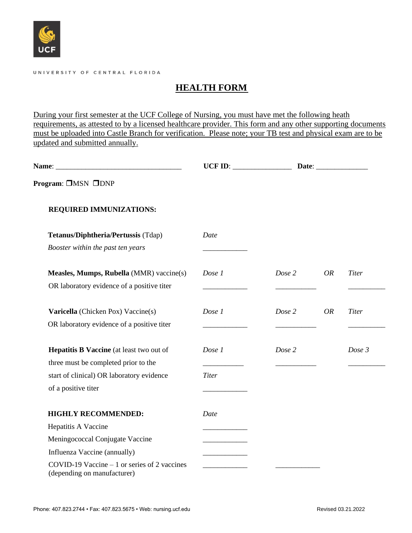

#### UNIVERSITY OF CENTRAL FLORIDA

### **HEALTH FORM**

During your first semester at the UCF College of Nursing, you must have met the following heath requirements, as attested to by a licensed healthcare provider. This form and any other supporting documents must be uploaded into Castle Branch for verification. Please note; your TB test and physical exam are to be updated and submitted annually.

|                                                                              | UCF ID: $\qquad \qquad$ |                     |              |
|------------------------------------------------------------------------------|-------------------------|---------------------|--------------|
| Program: □MSN □DNP                                                           |                         |                     |              |
| <b>REQUIRED IMMUNIZATIONS:</b>                                               |                         |                     |              |
| Tetanus/Diphtheria/Pertussis (Tdap)                                          | Date                    |                     |              |
| Booster within the past ten years                                            |                         |                     |              |
| Measles, Mumps, Rubella (MMR) vaccine(s)                                     | Dose 1                  | Dose 2<br><b>OR</b> | <b>Titer</b> |
| OR laboratory evidence of a positive titer                                   |                         |                     |              |
| Varicella (Chicken Pox) Vaccine(s)                                           | Dose 1                  | Dose 2<br><b>OR</b> | <b>Titer</b> |
| OR laboratory evidence of a positive titer                                   |                         |                     |              |
| Hepatitis B Vaccine (at least two out of                                     | Dose 1                  | Dose 2              | Dose 3       |
| three must be completed prior to the                                         |                         |                     |              |
| start of clinical) OR laboratory evidence                                    | <b>Titer</b>            |                     |              |
| of a positive titer                                                          |                         |                     |              |
| <b>HIGHLY RECOMMENDED:</b>                                                   | Date                    |                     |              |
| Hepatitis A Vaccine                                                          |                         |                     |              |
| Meningococcal Conjugate Vaccine                                              |                         |                     |              |
| Influenza Vaccine (annually)                                                 |                         |                     |              |
| COVID-19 Vaccine $-1$ or series of 2 vaccines<br>(depending on manufacturer) |                         |                     |              |